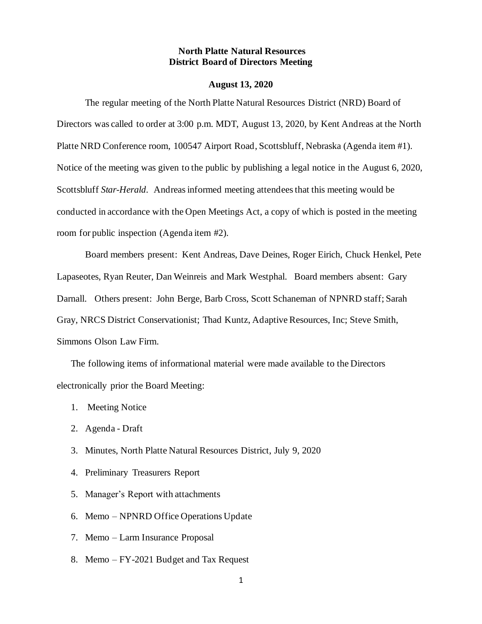### **North Platte Natural Resources District Board of Directors Meeting**

#### **August 13, 2020**

The regular meeting of the North Platte Natural Resources District (NRD) Board of Directors was called to order at 3:00 p.m. MDT, August 13, 2020, by Kent Andreas at the North Platte NRD Conference room, 100547 Airport Road, Scottsbluff, Nebraska (Agenda item #1). Notice of the meeting was given to the public by publishing a legal notice in the August 6, 2020, Scottsbluff *Star-Herald*. Andreas informed meeting attendees that this meeting would be conducted in accordance with the Open Meetings Act, a copy of which is posted in the meeting room for public inspection (Agenda item #2).

Board members present: Kent Andreas, Dave Deines, Roger Eirich, Chuck Henkel, Pete Lapaseotes, Ryan Reuter, Dan Weinreis and Mark Westphal. Board members absent: Gary Darnall. Others present: John Berge, Barb Cross, Scott Schaneman of NPNRD staff; Sarah Gray, NRCS District Conservationist; Thad Kuntz, Adaptive Resources, Inc; Steve Smith, Simmons Olson Law Firm.

The following items of informational material were made available to the Directors electronically prior the Board Meeting:

- 1. Meeting Notice
- 2. Agenda Draft
- 3. Minutes, North Platte Natural Resources District, July 9, 2020
- 4. Preliminary Treasurers Report
- 5. Manager's Report with attachments
- 6. Memo NPNRD Office Operations Update
- 7. Memo Larm Insurance Proposal
- 8. Memo FY-2021 Budget and Tax Request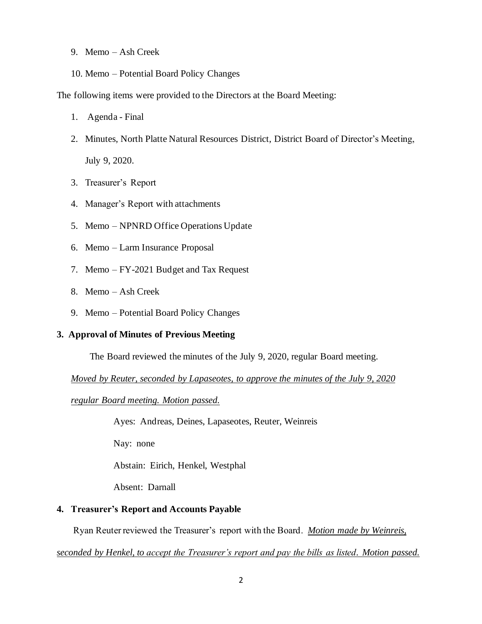- 9. Memo Ash Creek
- 10. Memo Potential Board Policy Changes

The following items were provided to the Directors at the Board Meeting:

- 1. Agenda Final
- 2. Minutes, North Platte Natural Resources District, District Board of Director's Meeting, July 9, 2020.
- 3. Treasurer's Report
- 4. Manager's Report with attachments
- 5. Memo NPNRD Office Operations Update
- 6. Memo Larm Insurance Proposal
- 7. Memo FY-2021 Budget and Tax Request
- 8. Memo Ash Creek
- 9. Memo Potential Board Policy Changes

## **3. Approval of Minutes of Previous Meeting**

The Board reviewed the minutes of the July 9, 2020, regular Board meeting.

*Moved by Reuter, seconded by Lapaseotes, to approve the minutes of the July 9, 2020* 

*regular Board meeting. Motion passed.*

Ayes: Andreas, Deines, Lapaseotes, Reuter, Weinreis

Nay: none

Abstain: Eirich, Henkel, Westphal

Absent: Darnall

## **4. Treasurer's Report and Accounts Payable**

Ryan Reuter reviewed the Treasurer's report with the Board. *Motion made by Weinreis,* 

*seconded by Henkel, to accept the Treasurer's report and pay the bills as listed. Motion passed.*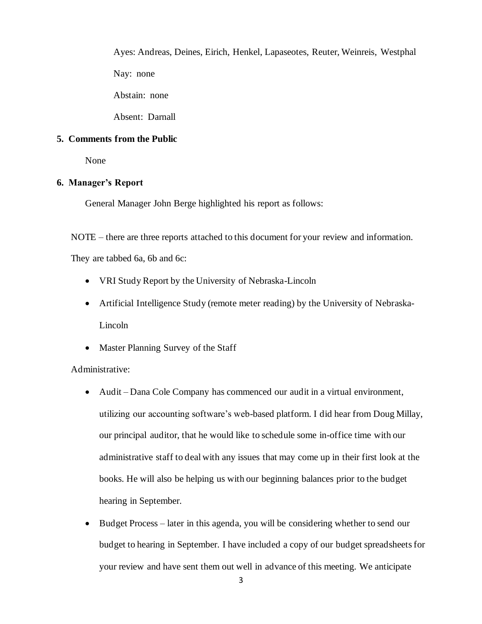Ayes: Andreas, Deines, Eirich, Henkel, Lapaseotes, Reuter, Weinreis, Westphal Nay: none Abstain: none

Absent: Darnall

# **5. Comments from the Public**

None

# **6. Manager's Report**

General Manager John Berge highlighted his report as follows:

NOTE – there are three reports attached to this document for your review and information.

They are tabbed 6a, 6b and 6c:

- VRI Study Report by the University of Nebraska-Lincoln
- Artificial Intelligence Study (remote meter reading) by the University of Nebraska-Lincoln
- Master Planning Survey of the Staff

Administrative:

- Audit Dana Cole Company has commenced our audit in a virtual environment, utilizing our accounting software's web-based platform. I did hear from Doug Millay, our principal auditor, that he would like to schedule some in-office time with our administrative staff to deal with any issues that may come up in their first look at the books. He will also be helping us with our beginning balances prior to the budget hearing in September.
- Budget Process later in this agenda, you will be considering whether to send our budget to hearing in September. I have included a copy of our budget spreadsheets for your review and have sent them out well in advance of this meeting. We anticipate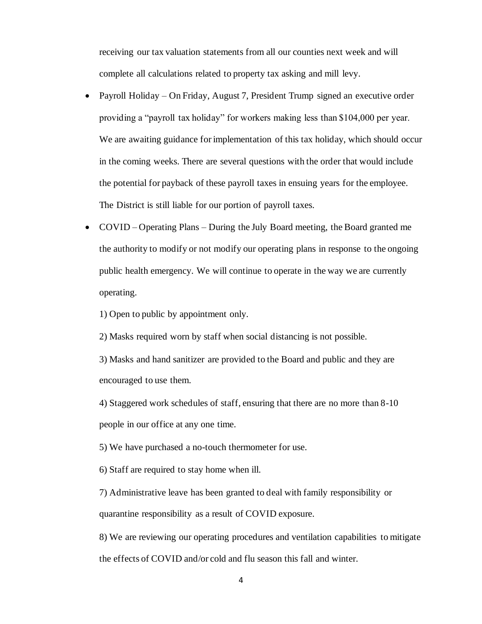receiving our tax valuation statements from all our counties next week and will complete all calculations related to property tax asking and mill levy.

- Payroll Holiday On Friday, August 7, President Trump signed an executive order providing a "payroll tax holiday" for workers making less than \$104,000 per year. We are awaiting guidance for implementation of this tax holiday, which should occur in the coming weeks. There are several questions with the order that would include the potential for payback of these payroll taxes in ensuing years for the employee. The District is still liable for our portion of payroll taxes.
- COVID Operating Plans During the July Board meeting, the Board granted me the authority to modify or not modify our operating plans in response to the ongoing public health emergency. We will continue to operate in the way we are currently operating.

1) Open to public by appointment only.

2) Masks required worn by staff when social distancing is not possible.

3) Masks and hand sanitizer are provided to the Board and public and they are encouraged to use them.

4) Staggered work schedules of staff, ensuring that there are no more than 8-10 people in our office at any one time.

5) We have purchased a no-touch thermometer for use.

6) Staff are required to stay home when ill.

7) Administrative leave has been granted to deal with family responsibility or quarantine responsibility as a result of COVID exposure.

8) We are reviewing our operating procedures and ventilation capabilities to mitigate the effects of COVID and/or cold and flu season this fall and winter.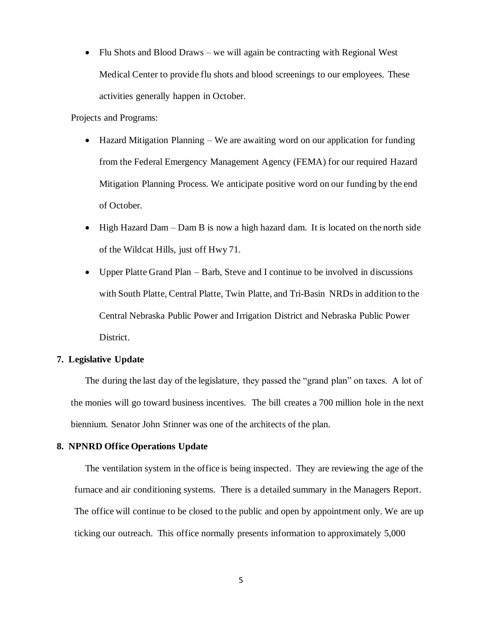• Flu Shots and Blood Draws – we will again be contracting with Regional West Medical Center to provide flu shots and blood screenings to our employees. These activities generally happen in October.

Projects and Programs:

- Hazard Mitigation Planning We are awaiting word on our application for funding from the Federal Emergency Management Agency (FEMA) for our required Hazard Mitigation Planning Process. We anticipate positive word on our funding by the end of October.
- High Hazard Dam Dam B is now a high hazard dam. It is located on the north side of the Wildcat Hills, just off Hwy 71.
- Upper Platte Grand Plan Barb, Steve and I continue to be involved in discussions with South Platte, Central Platte, Twin Platte, and Tri-Basin NRDs in addition to the Central Nebraska Public Power and Irrigation District and Nebraska Public Power District.

## **7. Legislative Update**

The during the last day of the legislature, they passed the "grand plan" on taxes. A lot of the monies will go toward business incentives. The bill creates a 700 million hole in the next biennium. Senator John Stinner was one of the architects of the plan.

## **8. NPNRD Office Operations Update**

The ventilation system in the office is being inspected. They are reviewing the age of the furnace and air conditioning systems. There is a detailed summary in the Managers Report. The office will continue to be closed to the public and open by appointment only. We are up ticking our outreach. This office normally presents information to approximately 5,000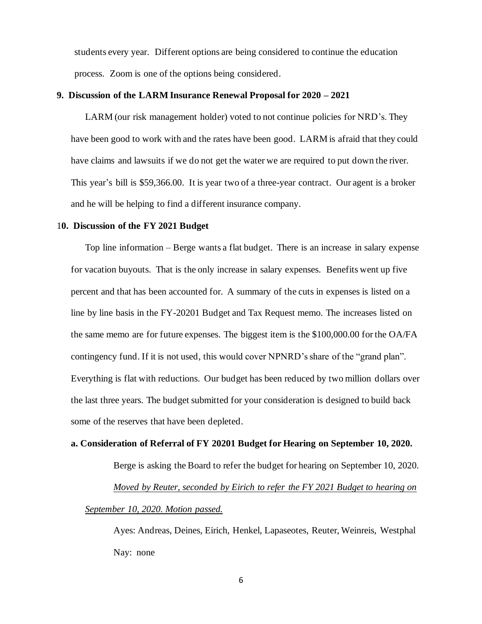students every year. Different options are being considered to continue the education process. Zoom is one of the options being considered.

#### **9. Discussion of the LARM Insurance Renewal Proposal for 2020 – 2021**

LARM (our risk management holder) voted to not continue policies for NRD's. They have been good to work with and the rates have been good. LARM is afraid that they could have claims and lawsuits if we do not get the water we are required to put down the river. This year's bill is \$59,366.00. It is year two of a three-year contract. Our agent is a broker and he will be helping to find a different insurance company.

#### 1**0. Discussion of the FY 2021 Budget**

Top line information – Berge wants a flat budget. There is an increase in salary expense for vacation buyouts. That is the only increase in salary expenses. Benefits went up five percent and that has been accounted for. A summary of the cuts in expenses is listed on a line by line basis in the FY-20201 Budget and Tax Request memo. The increases listed on the same memo are for future expenses. The biggest item is the \$100,000.00 for the OA/FA contingency fund. If it is not used, this would cover NPNRD's share of the "grand plan". Everything is flat with reductions. Our budget has been reduced by two million dollars over the last three years. The budget submitted for your consideration is designed to build back some of the reserves that have been depleted.

#### **a. Consideration of Referral of FY 20201 Budget for Hearing on September 10, 2020.**

Berge is asking the Board to refer the budget for hearing on September 10, 2020. *Moved by Reuter, seconded by Eirich to refer the FY 2021 Budget to hearing on September 10, 2020. Motion passed.*

Ayes: Andreas, Deines, Eirich, Henkel, Lapaseotes, Reuter, Weinreis, Westphal Nay: none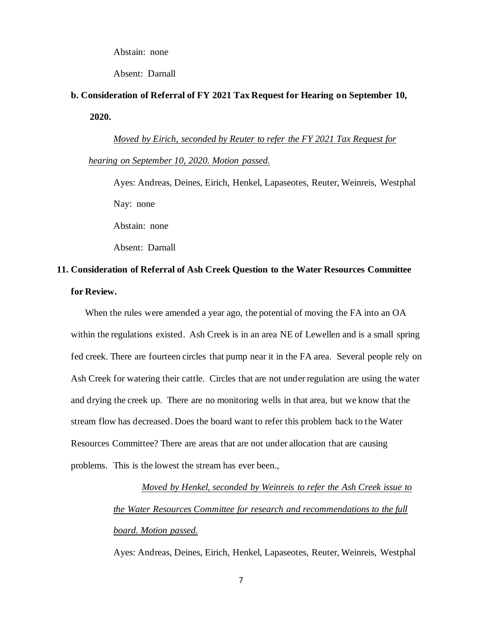Abstain: none

Absent: Darnall

# **b. Consideration of Referral of FY 2021 Tax Request for Hearing on September 10, 2020.**

*Moved by Eirich, seconded by Reuter to refer the FY 2021 Tax Request for hearing on September 10, 2020. Motion passed.*

Ayes: Andreas, Deines, Eirich, Henkel, Lapaseotes, Reuter, Weinreis, Westphal Nay: none Abstain: none

Absent: Darnall

# **11. Consideration of Referral of Ash Creek Question to the Water Resources Committee for Review.**

When the rules were amended a year ago, the potential of moving the FA into an OA within the regulations existed. Ash Creek is in an area NE of Lewellen and is a small spring fed creek. There are fourteen circles that pump near it in the FA area. Several people rely on Ash Creek for watering their cattle. Circles that are not under regulation are using the water and drying the creek up. There are no monitoring wells in that area, but we know that the stream flow has decreased. Does the board want to refer this problem back to the Water Resources Committee? There are areas that are not under allocation that are causing problems. This is the lowest the stream has ever been.,

> *Moved by Henkel, seconded by Weinreis to refer the Ash Creek issue to the Water Resources Committee for research and recommendations to the full board. Motion passed.*

Ayes: Andreas, Deines, Eirich, Henkel, Lapaseotes, Reuter, Weinreis, Westphal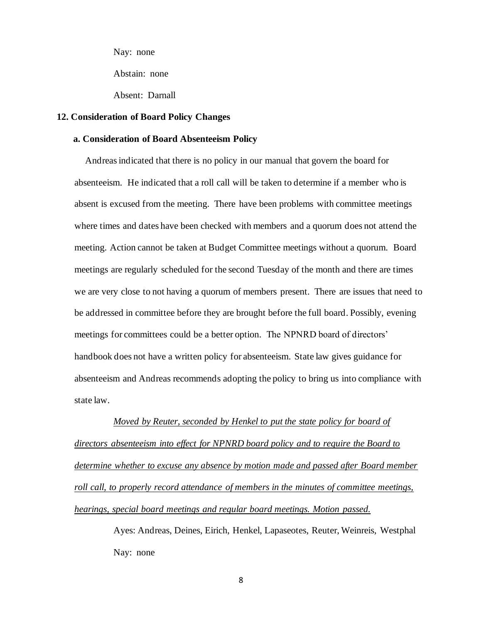Nay: none

Abstain: none

Absent: Darnall

#### **12. Consideration of Board Policy Changes**

### **a. Consideration of Board Absenteeism Policy**

Andreas indicated that there is no policy in our manual that govern the board for absenteeism. He indicated that a roll call will be taken to determine if a member who is absent is excused from the meeting. There have been problems with committee meetings where times and dates have been checked with members and a quorum does not attend the meeting. Action cannot be taken at Budget Committee meetings without a quorum. Board meetings are regularly scheduled for the second Tuesday of the month and there are times we are very close to not having a quorum of members present. There are issues that need to be addressed in committee before they are brought before the full board. Possibly, evening meetings for committees could be a better option. The NPNRD board of directors' handbook does not have a written policy for absenteeism. State law gives guidance for absenteeism and Andreas recommends adopting the policy to bring us into compliance with state law.

*Moved by Reuter, seconded by Henkel to put the state policy for board of directors absenteeism into effect for NPNRD board policy and to require the Board to determine whether to excuse any absence by motion made and passed after Board member roll call, to properly record attendance of members in the minutes of committee meetings, hearings, special board meetings and regular board meetings. Motion passed.*

> Ayes: Andreas, Deines, Eirich, Henkel, Lapaseotes, Reuter, Weinreis, Westphal Nay: none